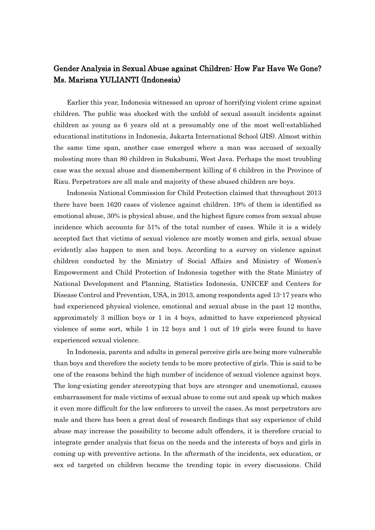## Gender Analysis in Sexual Abuse against Children: How Far Have We Gone? Ms. Marisna YULIANTI (Indonesia)

Earlier this year, Indonesia witnessed an uproar of horrifying violent crime against children. The public was shocked with the unfold of sexual assault incidents against children as young as 6 years old at a presumably one of the most well-established educational institutions in Indonesia, Jakarta International School (JIS). Almost within the same time span, another case emerged where a man was accused of sexually molesting more than 80 children in Sukabumi, West Java. Perhaps the most troubling case was the sexual abuse and dismemberment killing of 6 children in the Province of Riau. Perpetrators are all male and majority of these abused children are boys.

Indonesia National Commission for Child Protection claimed that throughout 2013 there have been 1620 cases of violence against children. 19% of them is identified as emotional abuse, 30% is physical abuse, and the highest figure comes from sexual abuse incidence which accounts for 51% of the total number of cases. While it is a widely accepted fact that victims of sexual violence are mostly women and girls, sexual abuse evidently also happen to men and boys. According to a survey on violence against children conducted by the Ministry of Social Affairs and Ministry of Women's Empowerment and Child Protection of Indonesia together with the State Ministry of National Development and Planning, Statistics Indonesia, UNICEF and Centers for Disease Control and Prevention, USA, in 2013, among respondents aged 13-17 years who had experienced physical violence, emotional and sexual abuse in the past 12 months, approximately 3 million boys or 1 in 4 boys, admitted to have experienced physical violence of some sort, while 1 in 12 boys and 1 out of 19 girls were found to have experienced sexual violence.

In Indonesia, parents and adults in general perceive girls are being more vulnerable than boys and therefore the society tends to be more protective of girls. This is said to be one of the reasons behind the high number of incidence of sexual violence against boys. The long-existing gender stereotyping that boys are stronger and unemotional, causes embarrassment for male victims of sexual abuse to come out and speak up which makes it even more difficult for the law enforcers to unveil the cases. As most perpetrators are male and there has been a great deal of research findings that say experience of child abuse may increase the possibility to become adult offenders, it is therefore crucial to integrate gender analysis that focus on the needs and the interests of boys and girls in coming up with preventive actions. In the aftermath of the incidents, sex education, or sex ed targeted on children became the trending topic in every discussions. Child